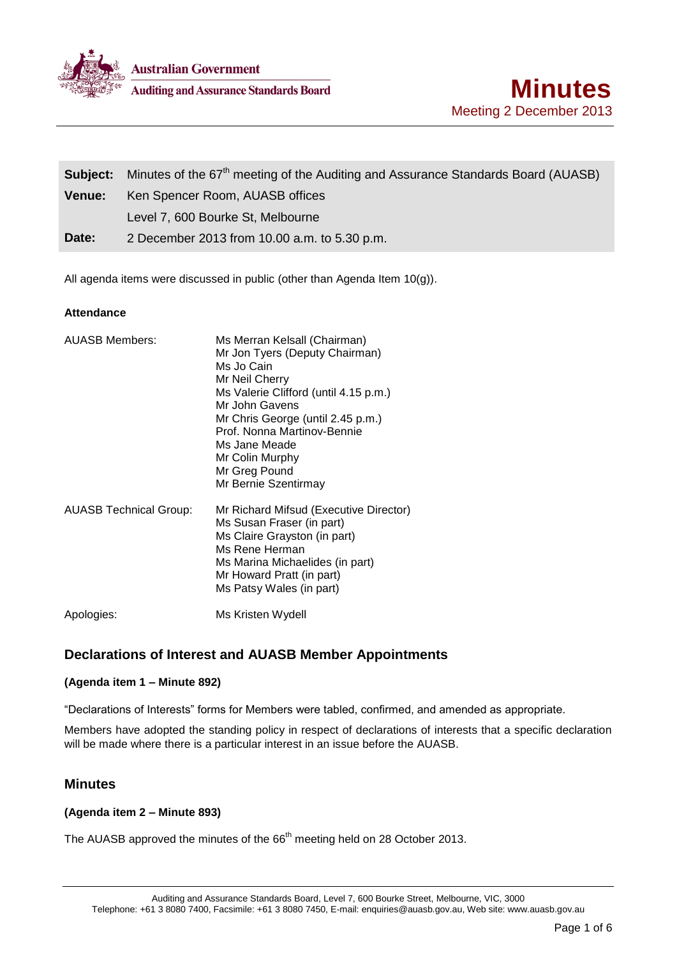

|               | <b>Subject:</b> Minutes of the 67 <sup>th</sup> meeting of the Auditing and Assurance Standards Board (AUASB) |  |
|---------------|---------------------------------------------------------------------------------------------------------------|--|
| <b>Venue:</b> | Ken Spencer Room, AUASB offices                                                                               |  |
|               | Level 7, 600 Bourke St, Melbourne                                                                             |  |
| Date:         | 2 December 2013 from 10.00 a.m. to 5.30 p.m.                                                                  |  |

All agenda items were discussed in public (other than Agenda Item 10(g)).

### **Attendance**

| <b>AUASB Members:</b>         | Ms Merran Kelsall (Chairman)<br>Mr Jon Tyers (Deputy Chairman)<br>Ms Jo Cain<br>Mr Neil Cherry<br>Ms Valerie Clifford (until 4.15 p.m.)<br>Mr John Gavens<br>Mr Chris George (until 2.45 p.m.)<br>Prof. Nonna Martinov-Bennie<br>Ms Jane Meade<br>Mr Colin Murphy<br>Mr Greg Pound<br>Mr Bernie Szentirmay |
|-------------------------------|------------------------------------------------------------------------------------------------------------------------------------------------------------------------------------------------------------------------------------------------------------------------------------------------------------|
| <b>AUASB Technical Group:</b> | Mr Richard Mifsud (Executive Director)<br>Ms Susan Fraser (in part)<br>Ms Claire Grayston (in part)<br>Ms Rene Herman<br>Ms Marina Michaelides (in part)<br>Mr Howard Pratt (in part)<br>Ms Patsy Wales (in part)                                                                                          |
| Apologies:                    | Ms Kristen Wydell                                                                                                                                                                                                                                                                                          |

# **Declarations of Interest and AUASB Member Appointments**

## **(Agenda item 1 – Minute 892)**

"Declarations of Interests" forms for Members were tabled, confirmed, and amended as appropriate.

Members have adopted the standing policy in respect of declarations of interests that a specific declaration will be made where there is a particular interest in an issue before the AUASB.

## **Minutes**

### **(Agenda item 2 – Minute 893)**

The AUASB approved the minutes of the 66<sup>th</sup> meeting held on 28 October 2013.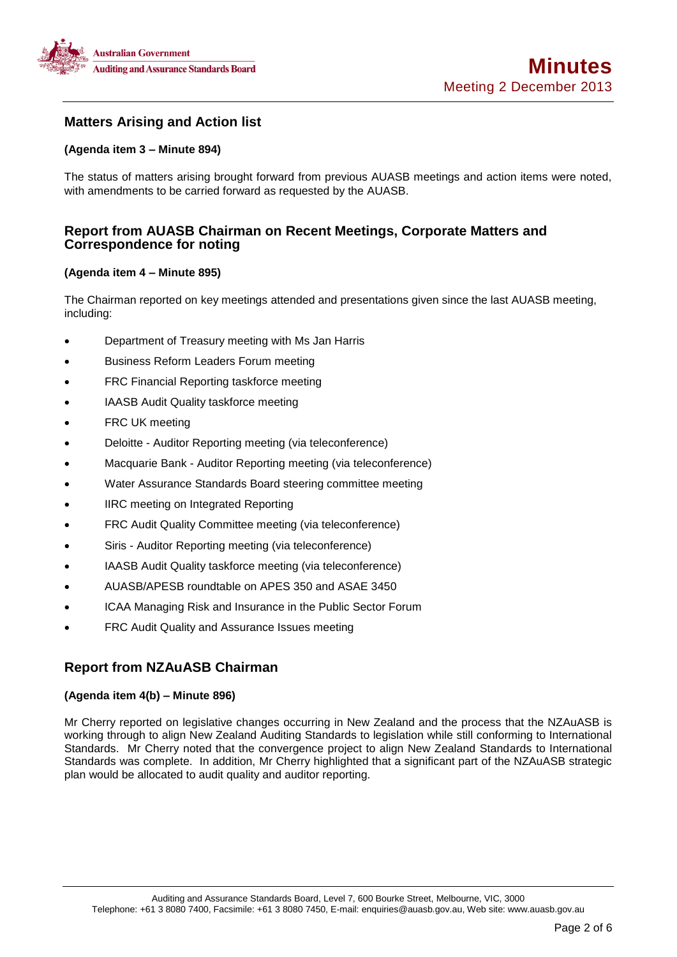

# **Matters Arising and Action list**

### **(Agenda item 3 – Minute 894)**

The status of matters arising brought forward from previous AUASB meetings and action items were noted, with amendments to be carried forward as requested by the AUASB.

## **Report from AUASB Chairman on Recent Meetings, Corporate Matters and Correspondence for noting**

#### **(Agenda item 4 – Minute 895)**

The Chairman reported on key meetings attended and presentations given since the last AUASB meeting, including:

- Department of Treasury meeting with Ms Jan Harris
- Business Reform Leaders Forum meeting
- FRC Financial Reporting taskforce meeting
- IAASB Audit Quality taskforce meeting
- FRC UK meeting
- Deloitte Auditor Reporting meeting (via teleconference)
- Macquarie Bank Auditor Reporting meeting (via teleconference)
- Water Assurance Standards Board steering committee meeting
- IIRC meeting on Integrated Reporting
- FRC Audit Quality Committee meeting (via teleconference)
- Siris Auditor Reporting meeting (via teleconference)
- IAASB Audit Quality taskforce meeting (via teleconference)
- AUASB/APESB roundtable on APES 350 and ASAE 3450
- ICAA Managing Risk and Insurance in the Public Sector Forum
- FRC Audit Quality and Assurance Issues meeting

# **Report from NZAuASB Chairman**

#### **(Agenda item 4(b) – Minute 896)**

Mr Cherry reported on legislative changes occurring in New Zealand and the process that the NZAuASB is working through to align New Zealand Auditing Standards to legislation while still conforming to International Standards. Mr Cherry noted that the convergence project to align New Zealand Standards to International Standards was complete. In addition, Mr Cherry highlighted that a significant part of the NZAuASB strategic plan would be allocated to audit quality and auditor reporting.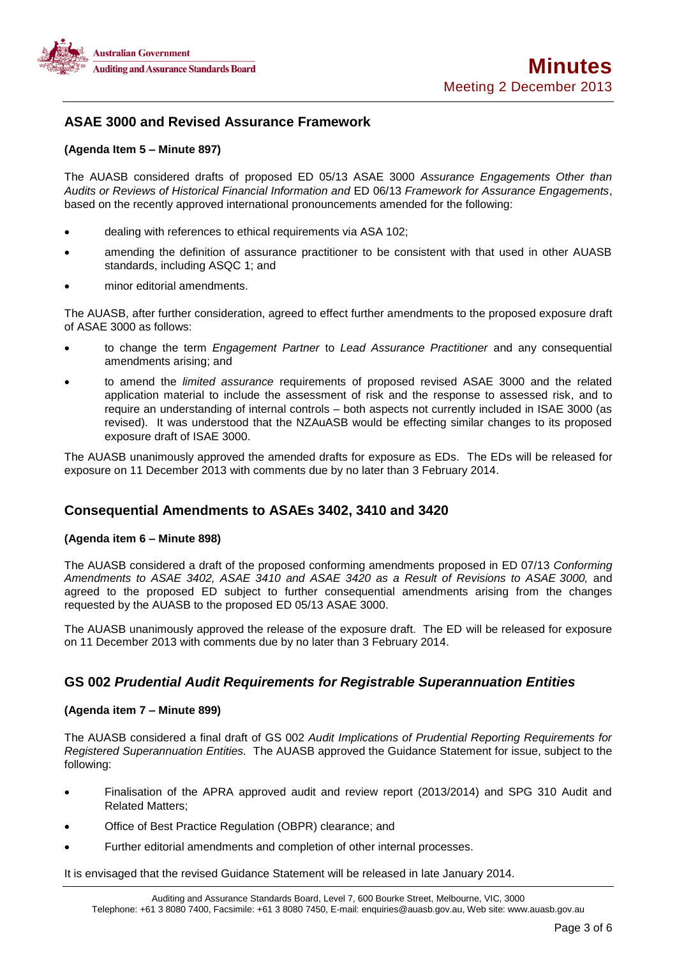

## **ASAE 3000 and Revised Assurance Framework**

#### **(Agenda Item 5 – Minute 897)**

The AUASB considered drafts of proposed ED 05/13 ASAE 3000 *Assurance Engagements Other than Audits or Reviews of Historical Financial Information and* ED 06/13 *Framework for Assurance Engagements*, based on the recently approved international pronouncements amended for the following:

- dealing with references to ethical requirements via ASA 102;
- amending the definition of assurance practitioner to be consistent with that used in other AUASB standards, including ASQC 1; and
- minor editorial amendments.

The AUASB, after further consideration, agreed to effect further amendments to the proposed exposure draft of ASAE 3000 as follows:

- to change the term *Engagement Partner* to *Lead Assurance Practitioner* and any consequential amendments arising; and
- to amend the *limited assurance* requirements of proposed revised ASAE 3000 and the related application material to include the assessment of risk and the response to assessed risk, and to require an understanding of internal controls – both aspects not currently included in ISAE 3000 (as revised). It was understood that the NZAuASB would be effecting similar changes to its proposed exposure draft of ISAE 3000.

The AUASB unanimously approved the amended drafts for exposure as EDs. The EDs will be released for exposure on 11 December 2013 with comments due by no later than 3 February 2014.

## **Consequential Amendments to ASAEs 3402, 3410 and 3420**

#### **(Agenda item 6 – Minute 898)**

The AUASB considered a draft of the proposed conforming amendments proposed in ED 07/13 *Conforming Amendments to ASAE 3402, ASAE 3410 and ASAE 3420 as a Result of Revisions to ASAE 3000,* and agreed to the proposed ED subject to further consequential amendments arising from the changes requested by the AUASB to the proposed ED 05/13 ASAE 3000.

The AUASB unanimously approved the release of the exposure draft. The ED will be released for exposure on 11 December 2013 with comments due by no later than 3 February 2014.

## **GS 002** *Prudential Audit Requirements for Registrable Superannuation Entities*

#### **(Agenda item 7 – Minute 899)**

The AUASB considered a final draft of GS 002 *Audit Implications of Prudential Reporting Requirements for Registered Superannuation Entities.* The AUASB approved the Guidance Statement for issue, subject to the following:

- Finalisation of the APRA approved audit and review report (2013/2014) and SPG 310 Audit and Related Matters;
- Office of Best Practice Regulation (OBPR) clearance; and
- Further editorial amendments and completion of other internal processes.

It is envisaged that the revised Guidance Statement will be released in late January 2014.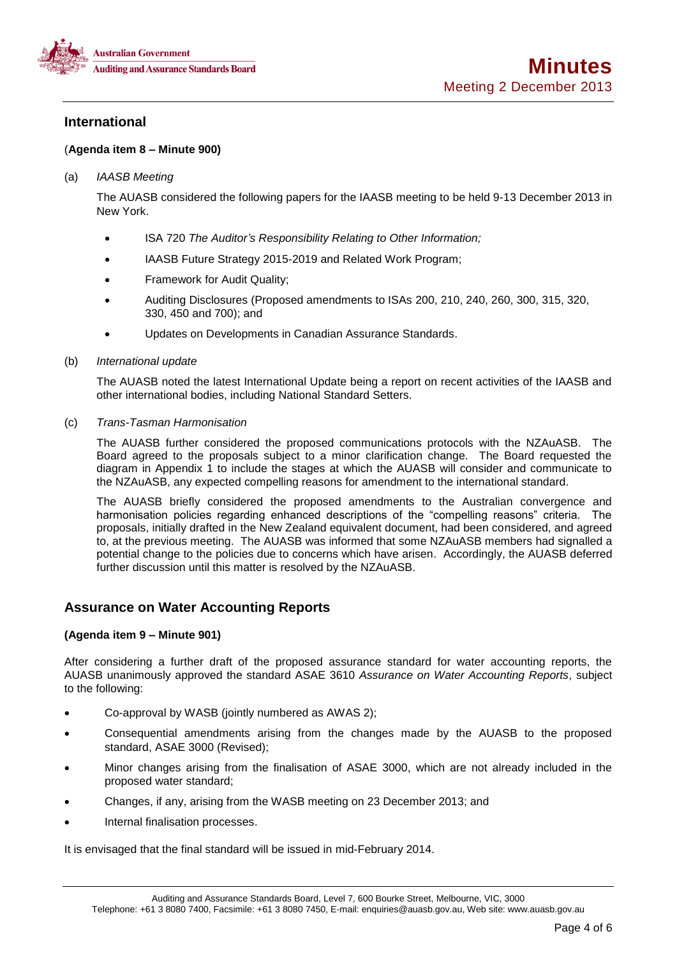

## **International**

### (**Agenda item 8 – Minute 900)**

#### (a) *IAASB Meeting*

The AUASB considered the following papers for the IAASB meeting to be held 9-13 December 2013 in New York.

- ISA 720 *The Auditor's Responsibility Relating to Other Information;*
- IAASB Future Strategy 2015-2019 and Related Work Program;
- Framework for Audit Quality;
- Auditing Disclosures (Proposed amendments to ISAs 200, 210, 240, 260, 300, 315, 320, 330, 450 and 700); and
- Updates on Developments in Canadian Assurance Standards.

#### (b) *International update*

The AUASB noted the latest International Update being a report on recent activities of the IAASB and other international bodies, including National Standard Setters.

### (c) *Trans-Tasman Harmonisation*

The AUASB further considered the proposed communications protocols with the NZAuASB. The Board agreed to the proposals subject to a minor clarification change. The Board requested the diagram in Appendix 1 to include the stages at which the AUASB will consider and communicate to the NZAuASB, any expected compelling reasons for amendment to the international standard.

The AUASB briefly considered the proposed amendments to the Australian convergence and harmonisation policies regarding enhanced descriptions of the "compelling reasons" criteria. The proposals, initially drafted in the New Zealand equivalent document, had been considered, and agreed to, at the previous meeting. The AUASB was informed that some NZAuASB members had signalled a potential change to the policies due to concerns which have arisen. Accordingly, the AUASB deferred further discussion until this matter is resolved by the NZAuASB.

## **Assurance on Water Accounting Reports**

### **(Agenda item 9 – Minute 901)**

After considering a further draft of the proposed assurance standard for water accounting reports, the AUASB unanimously approved the standard ASAE 3610 *Assurance on Water Accounting Reports*, subject to the following:

- Co-approval by WASB (jointly numbered as AWAS 2);
- Consequential amendments arising from the changes made by the AUASB to the proposed standard, ASAE 3000 (Revised);
- Minor changes arising from the finalisation of ASAE 3000, which are not already included in the proposed water standard;
- Changes, if any, arising from the WASB meeting on 23 December 2013; and
- Internal finalisation processes.

It is envisaged that the final standard will be issued in mid-February 2014.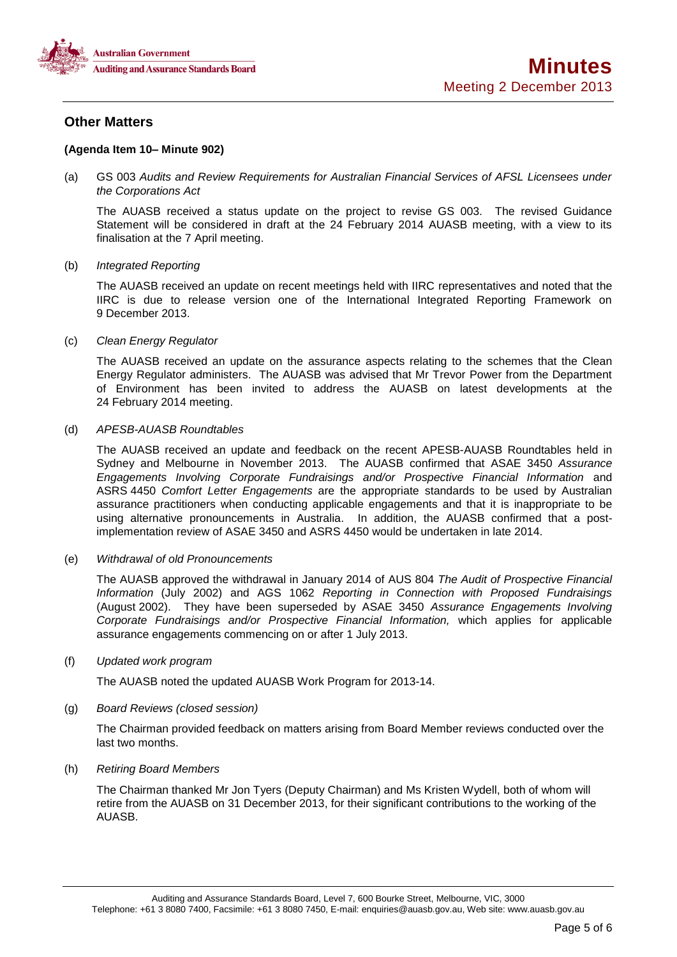

## **Other Matters**

#### **(Agenda Item 10– Minute 902)**

(a) GS 003 *Audits and Review Requirements for Australian Financial Services of AFSL Licensees under the Corporations Act* 

The AUASB received a status update on the project to revise GS 003*.* The revised Guidance Statement will be considered in draft at the 24 February 2014 AUASB meeting, with a view to its finalisation at the 7 April meeting.

#### (b) *Integrated Reporting*

The AUASB received an update on recent meetings held with IIRC representatives and noted that the IIRC is due to release version one of the International Integrated Reporting Framework on 9 December 2013.

#### (c) *Clean Energy Regulator*

The AUASB received an update on the assurance aspects relating to the schemes that the Clean Energy Regulator administers. The AUASB was advised that Mr Trevor Power from the Department of Environment has been invited to address the AUASB on latest developments at the 24 February 2014 meeting.

#### (d) *APESB-AUASB Roundtables*

The AUASB received an update and feedback on the recent APESB-AUASB Roundtables held in Sydney and Melbourne in November 2013. The AUASB confirmed that ASAE 3450 *Assurance Engagements Involving Corporate Fundraisings and/or Prospective Financial Information* and ASRS 4450 *Comfort Letter Engagements* are the appropriate standards to be used by Australian assurance practitioners when conducting applicable engagements and that it is inappropriate to be using alternative pronouncements in Australia. In addition, the AUASB confirmed that a postimplementation review of ASAE 3450 and ASRS 4450 would be undertaken in late 2014.

#### (e) *Withdrawal of old Pronouncements*

The AUASB approved the withdrawal in January 2014 of AUS 804 *The Audit of Prospective Financial Information* (July 2002) and AGS 1062 *Reporting in Connection with Proposed Fundraisings*  (August 2002). They have been superseded by ASAE 3450 *Assurance Engagements Involving Corporate Fundraisings and/or Prospective Financial Information,* which applies for applicable assurance engagements commencing on or after 1 July 2013.

#### (f) *Updated work program*

The AUASB noted the updated AUASB Work Program for 2013-14.

#### (g) *Board Reviews (closed session)*

The Chairman provided feedback on matters arising from Board Member reviews conducted over the last two months.

#### (h) *Retiring Board Members*

The Chairman thanked Mr Jon Tyers (Deputy Chairman) and Ms Kristen Wydell, both of whom will retire from the AUASB on 31 December 2013, for their significant contributions to the working of the AUASB.